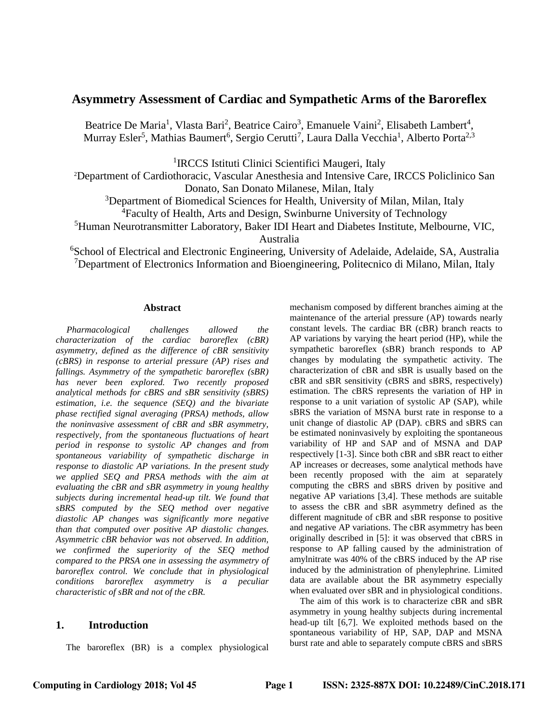# **Asymmetry Assessment of Cardiac and Sympathetic Arms of the Baroreflex**

Beatrice De Maria<sup>1</sup>, Vlasta Bari<sup>2</sup>, Beatrice Cairo<sup>3</sup>, Emanuele Vaini<sup>2</sup>, Elisabeth Lambert<sup>4</sup>, Murray Esler<sup>5</sup>, Mathias Baumert<sup>6</sup>, Sergio Cerutti<sup>7</sup>, Laura Dalla Vecchia<sup>1</sup>, Alberto Porta<sup>2,3</sup>

<sup>1</sup>IRCCS Istituti Clinici Scientifici Maugeri, Italy

<sup>2</sup>Department of Cardiothoracic, Vascular Anesthesia and Intensive Care, IRCCS Policlinico San Donato, San Donato Milanese, Milan, Italy

<sup>3</sup>Department of Biomedical Sciences for Health, University of Milan, Milan, Italy

<sup>4</sup>Faculty of Health, Arts and Design, Swinburne University of Technology

<sup>5</sup>Human Neurotransmitter Laboratory, Baker IDI Heart and Diabetes Institute, Melbourne, VIC,

Australia

<sup>6</sup>School of Electrical and Electronic Engineering, University of Adelaide, Adelaide, SA, Australia <sup>7</sup>Department of Electronics Information and Bioengineering, Politecnico di Milano, Milan, Italy

#### **Abstract**

*Pharmacological challenges allowed the characterization of the cardiac baroreflex (cBR) asymmetry, defined as the difference of cBR sensitivity (cBRS) in response to arterial pressure (AP) rises and fallings. Asymmetry of the sympathetic baroreflex (sBR) has never been explored. Two recently proposed analytical methods for cBRS and sBR sensitivity (sBRS) estimation, i.e. the sequence (SEQ) and the bivariate phase rectified signal averaging (PRSA) methods, allow the noninvasive assessment of cBR and sBR asymmetry, respectively, from the spontaneous fluctuations of heart period in response to systolic AP changes and from spontaneous variability of sympathetic discharge in response to diastolic AP variations. In the present study we applied SEQ and PRSA methods with the aim at evaluating the cBR and sBR asymmetry in young healthy subjects during incremental head-up tilt. We found that sBRS computed by the SEQ method over negative diastolic AP changes was significantly more negative than that computed over positive AP diastolic changes. Asymmetric cBR behavior was not observed. In addition, we confirmed the superiority of the SEQ method compared to the PRSA one in assessing the asymmetry of baroreflex control. We conclude that in physiological conditions baroreflex asymmetry is a peculiar characteristic of sBR and not of the cBR.*

### **1. Introduction**

The baroreflex (BR) is a complex physiological

mechanism composed by different branches aiming at the maintenance of the arterial pressure (AP) towards nearly constant levels. The cardiac BR (cBR) branch reacts to AP variations by varying the heart period (HP), while the sympathetic baroreflex (sBR) branch responds to AP changes by modulating the sympathetic activity. The characterization of cBR and sBR is usually based on the cBR and sBR sensitivity (cBRS and sBRS, respectively) estimation. The cBRS represents the variation of HP in response to a unit variation of systolic AP (SAP), while sBRS the variation of MSNA burst rate in response to a unit change of diastolic AP (DAP). cBRS and sBRS can be estimated noninvasively by exploiting the spontaneous variability of HP and SAP and of MSNA and DAP respectively [1-3]. Since both cBR and sBR react to either AP increases or decreases, some analytical methods have been recently proposed with the aim at separately computing the cBRS and sBRS driven by positive and negative AP variations [3,4]. These methods are suitable to assess the cBR and sBR asymmetry defined as the different magnitude of cBR and sBR response to positive and negative AP variations. The cBR asymmetry has been originally described in [5]: it was observed that cBRS in response to AP falling caused by the administration of amylnitrate was 40% of the cBRS induced by the AP rise induced by the administration of phenylephrine. Limited data are available about the BR asymmetry especially when evaluated over sBR and in physiological conditions.

The aim of this work is to characterize cBR and sBR asymmetry in young healthy subjects during incremental head-up tilt [6,7]. We exploited methods based on the spontaneous variability of HP, SAP, DAP and MSNA burst rate and able to separately compute cBRS and sBRS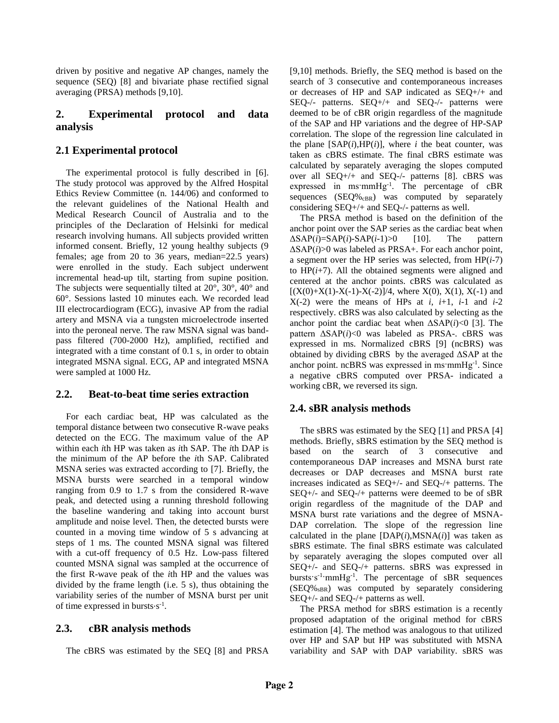driven by positive and negative AP changes, namely the sequence (SEQ) [8] and bivariate phase rectified signal averaging (PRSA) methods [9,10].

### **2. Experimental protocol and data analysis**

## **2.1 Experimental protocol**

The experimental protocol is fully described in [6]. The study protocol was approved by the Alfred Hospital Ethics Review Committee (n. 144/06) and conformed to the relevant guidelines of the National Health and Medical Research Council of Australia and to the principles of the Declaration of Helsinki for medical research involving humans. All subjects provided written informed consent. Briefly, 12 young healthy subjects (9 females; age from 20 to 36 years, median=22.5 years) were enrolled in the study. Each subject underwent incremental head-up tilt, starting from supine position. The subjects were sequentially tilted at  $20^{\circ}$ ,  $30^{\circ}$ ,  $40^{\circ}$  and 60°. Sessions lasted 10 minutes each. We recorded lead III electrocardiogram (ECG), invasive AP from the radial artery and MSNA via a tungsten microelectrode inserted into the peroneal nerve. The raw MSNA signal was bandpass filtered (700-2000 Hz), amplified, rectified and integrated with a time constant of 0.1 s, in order to obtain integrated MSNA signal. ECG, AP and integrated MSNA were sampled at 1000 Hz.

#### **2.2. Beat-to-beat time series extraction**

For each cardiac beat, HP was calculated as the temporal distance between two consecutive R-wave peaks detected on the ECG. The maximum value of the AP within each *i*th HP was taken as *i*th SAP. The *i*th DAP is the minimum of the AP before the *i*th SAP. Calibrated MSNA series was extracted according to [7]. Briefly, the MSNA bursts were searched in a temporal window ranging from 0.9 to 1.7 s from the considered R-wave peak, and detected using a running threshold following the baseline wandering and taking into account burst amplitude and noise level. Then, the detected bursts were counted in a moving time window of 5 s advancing at steps of 1 ms. The counted MSNA signal was filtered with a cut-off frequency of 0.5 Hz. Low-pass filtered counted MSNA signal was sampled at the occurrence of the first R-wave peak of the *i*th HP and the values was divided by the frame length (i.e. 5 s), thus obtaining the variability series of the number of MSNA burst per unit of time expressed in bursts $s^{-1}$ .

## **2.3. cBR analysis methods**

The cBRS was estimated by the SEQ [8] and PRSA

[9,10] methods. Briefly, the SEQ method is based on the search of 3 consecutive and contemporaneous increases or decreases of HP and SAP indicated as SEQ+/+ and SEQ-/- patterns. SEQ+/+ and SEQ-/- patterns were deemed to be of cBR origin regardless of the magnitude of the SAP and HP variations and the degree of HP-SAP correlation. The slope of the regression line calculated in the plane  $[SAP(i), HP(i)]$ , where *i* the beat counter, was taken as cBRS estimate. The final cBRS estimate was calculated by separately averaging the slopes computed over all SEQ+/+ and SEQ-/- patterns [8]. cBRS was expressed in ms:mmHg<sup>-1</sup>. The percentage of cBR sequences  $(SEQ\%_{cBR})$  was computed by separately considering SEQ+/+ and SEQ-/- patterns as well.

The PRSA method is based on the definition of the anchor point over the SAP series as the cardiac beat when  $\triangle$ SAP(*i*)=SAP(*i*)-SAP(*i*-1)>0 [10]. The pattern ΔSAP(*i*)>0 was labeled as PRSA+. For each anchor point, a segment over the HP series was selected, from HP(*i*-7) to  $HP(i+7)$ . All the obtained segments were aligned and centered at the anchor points. cBRS was calculated as  $[(X(0)+X(1)-X(-1)-X(-2)]/4,$  where  $X(0), X(1), X(-1)$  and  $X(-2)$  were the means of HPs at *i*,  $i+1$ ,  $i-1$  and  $i-2$ respectively. cBRS was also calculated by selecting as the anchor point the cardiac beat when  $\Delta$ SAP(*i*)<0 [3]. The pattern ΔSAP(*i*)<0 was labeled as PRSA-. cBRS was expressed in ms. Normalized cBRS [9] (ncBRS) was obtained by dividing cBRS by the averaged ΔSAP at the anchor point. ncBRS was expressed in ms·mmHg<sup>-1</sup>. Since a negative cBRS computed over PRSA- indicated a working cBR, we reversed its sign.

## **2.4. sBR analysis methods**

The sBRS was estimated by the SEQ [1] and PRSA [4] methods. Briefly, sBRS estimation by the SEQ method is based on the search of 3 consecutive and contemporaneous DAP increases and MSNA burst rate decreases or DAP decreases and MSNA burst rate increases indicated as SEQ+/- and SEQ-/+ patterns. The SEQ+/- and SEQ-/+ patterns were deemed to be of sBR origin regardless of the magnitude of the DAP and MSNA burst rate variations and the degree of MSNA-DAP correlation. The slope of the regression line calculated in the plane  $[DAP(i), MSNA(i)]$  was taken as sBRS estimate. The final sBRS estimate was calculated by separately averaging the slopes computed over all SEQ+/- and SEQ-/+ patterns. sBRS was expressed in bursts  $s^{-1}$  mmHg<sup>-1</sup>. The percentage of sBR sequences  $(SEQ\%_{sBR})$  was computed by separately considering SEQ+/- and SEQ-/+ patterns as well.

The PRSA method for sBRS estimation is a recently proposed adaptation of the original method for cBRS estimation [4]. The method was analogous to that utilized over HP and SAP but HP was substituted with MSNA variability and SAP with DAP variability. sBRS was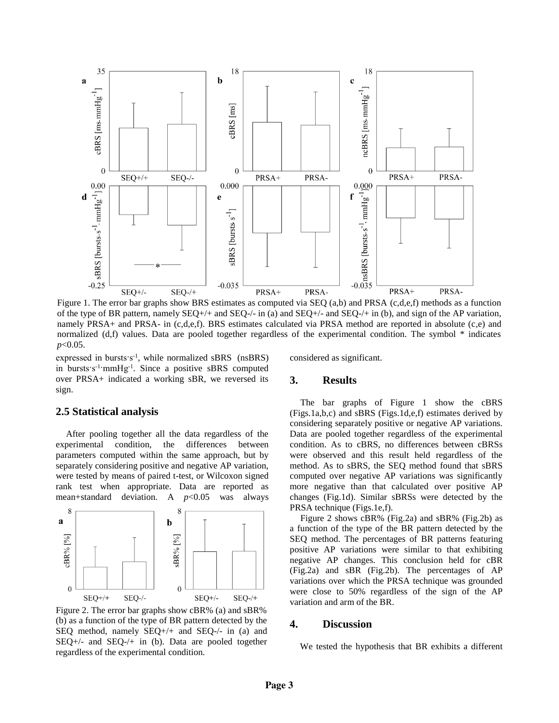

Figure 1. The error bar graphs show BRS estimates as computed via SEQ (a,b) and PRSA (c,d,e,f) methods as a function of the type of BR pattern, namely  $SEQ+/+$  and  $SEQ-/-$  in (a) and  $SEQ-/-$  and  $SEQ-/-$  in (b), and sign of the AP variation, namely PRSA+ and PRSA- in (c,d,e,f). BRS estimates calculated via PRSA method are reported in absolute (c,e) and normalized (d,f) values. Data are pooled together regardless of the experimental condition. The symbol \* indicates *p*<0.05.

expressed in bursts s<sup>-1</sup>, while normalized sBRS (nsBRS) in bursts s<sup>-1</sup> mmHg<sup>-1</sup>. Since a positive sBRS computed over PRSA+ indicated a working sBR, we reversed its sign.

**2.5 Statistical analysis**

After pooling together all the data regardless of the experimental condition, the differences between parameters computed within the same approach, but by separately considering positive and negative AP variation, were tested by means of paired t-test, or Wilcoxon signed rank test when appropriate. Data are reported as mean+standard deviation. A *p*<0.05 was always



Figure 2. The error bar graphs show cBR% (a) and sBR% (b) as a function of the type of BR pattern detected by the SEQ method, namely SEQ+/+ and SEQ-/- in (a) and  $SEQ$ +/- and  $SEQ$ -/+ in (b). Data are pooled together regardless of the experimental condition.

considered as significant.

#### **3. Results**

The bar graphs of Figure 1 show the cBRS (Figs.1a,b,c) and sBRS (Figs.1d,e,f) estimates derived by considering separately positive or negative AP variations. Data are pooled together regardless of the experimental condition. As to cBRS, no differences between cBRSs were observed and this result held regardless of the method. As to sBRS, the SEQ method found that sBRS computed over negative AP variations was significantly more negative than that calculated over positive AP changes (Fig.1d). Similar sBRSs were detected by the PRSA technique (Figs.1e,f).

Figure 2 shows cBR% (Fig.2a) and sBR% (Fig.2b) as a function of the type of the BR pattern detected by the SEQ method. The percentages of BR patterns featuring positive AP variations were similar to that exhibiting negative AP changes. This conclusion held for cBR (Fig.2a) and sBR (Fig.2b). The percentages of AP variations over which the PRSA technique was grounded were close to 50% regardless of the sign of the AP variation and arm of the BR.

#### **4. Discussion**

We tested the hypothesis that BR exhibits a different